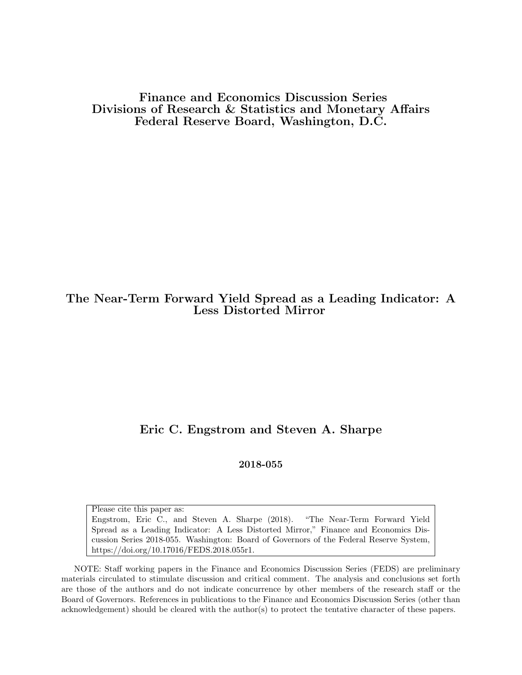Finance and Economics Discussion Series Divisions of Research & Statistics and Monetary Affairs Federal Reserve Board, Washington, D.C.

# The Near-Term Forward Yield Spread as a Leading Indicator: A Less Distorted Mirror

# Eric C. Engstrom and Steven A. Sharpe

#### 2018-055

Please cite this paper as: Engstrom, Eric C., and Steven A. Sharpe (2018). "The Near-Term Forward Yield Spread as a Leading Indicator: A Less Distorted Mirror," Finance and Economics Discussion Series 2018-055. Washington: Board of Governors of the Federal Reserve System, https://doi.org/10.17016/FEDS.2018.055r1.

NOTE: Staff working papers in the Finance and Economics Discussion Series (FEDS) are preliminary materials circulated to stimulate discussion and critical comment. The analysis and conclusions set forth are those of the authors and do not indicate concurrence by other members of the research staff or the Board of Governors. References in publications to the Finance and Economics Discussion Series (other than acknowledgement) should be cleared with the author(s) to protect the tentative character of these papers.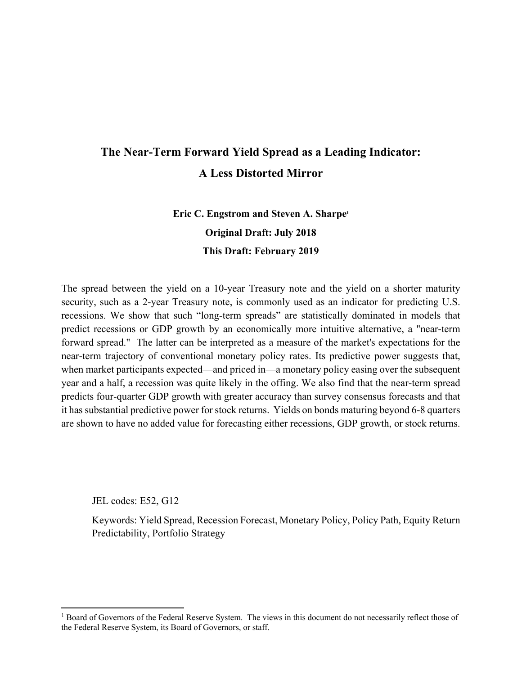# **The Near-Term Forward Yield Spread as a Leading Indicator: A Less Distorted Mirror**

# **Eric C. Engstrom and Steven A. Sharpe<sup>1</sup> Original Draft: July 2018 This Draft: February 2019**

The spread between the yield on a 10-year Treasury note and the yield on a shorter maturity security, such as a 2-year Treasury note, is commonly used as an indicator for predicting U.S. recessions. We show that such "long-term spreads" are statistically dominated in models that predict recessions or GDP growth by an economically more intuitive alternative, a "near-term forward spread." The latter can be interpreted as a measure of the market's expectations for the near-term trajectory of conventional monetary policy rates. Its predictive power suggests that, when market participants expected—and priced in—a monetary policy easing over the subsequent year and a half, a recession was quite likely in the offing. We also find that the near-term spread predicts four-quarter GDP growth with greater accuracy than survey consensus forecasts and that it has substantial predictive power for stock returns. Yields on bonds maturing beyond 6-8 quarters are shown to have no added value for forecasting either recessions, GDP growth, or stock returns.

JEL codes: E52, G12

Keywords: Yield Spread, Recession Forecast, Monetary Policy, Policy Path, Equity Return Predictability, Portfolio Strategy

<sup>&</sup>lt;sup>1</sup> Board of Governors of the Federal Reserve System. The views in this document do not necessarily reflect those of the Federal Reserve System, its Board of Governors, or staff.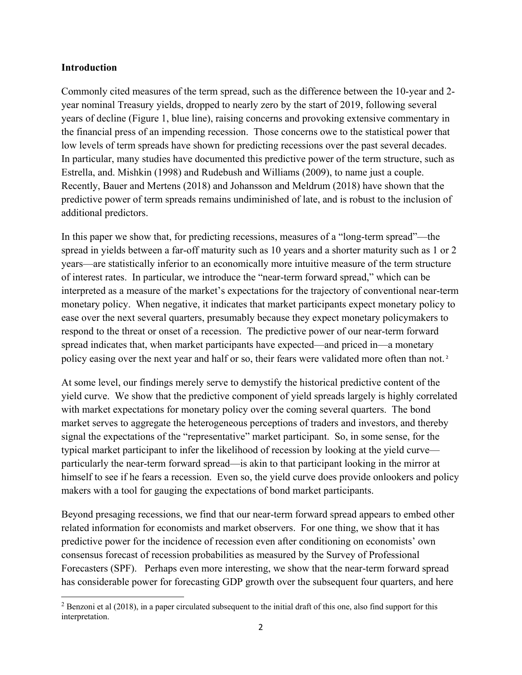### **Introduction**

Commonly cited measures of the term spread, such as the difference between the 10-year and 2 year nominal Treasury yields, dropped to nearly zero by the start of 2019, following several years of decline (Figure 1, blue line), raising concerns and provoking extensive commentary in the financial press of an impending recession. Those concerns owe to the statistical power that low levels of term spreads have shown for predicting recessions over the past several decades. In particular, many studies have documented this predictive power of the term structure, such as Estrella, and. Mishkin (1998) and Rudebush and Williams (2009), to name just a couple. Recently, Bauer and Mertens (2018) and Johansson and Meldrum (2018) have shown that the predictive power of term spreads remains undiminished of late, and is robust to the inclusion of additional predictors.

In this paper we show that, for predicting recessions, measures of a "long-term spread"—the spread in yields between a far-off maturity such as 10 years and a shorter maturity such as 1 or 2 years—are statistically inferior to an economically more intuitive measure of the term structure of interest rates. In particular, we introduce the "near-term forward spread," which can be interpreted as a measure of the market's expectations for the trajectory of conventional near-term monetary policy. When negative, it indicates that market participants expect monetary policy to ease over the next several quarters, presumably because they expect monetary policymakers to respond to the threat or onset of a recession. The predictive power of our near-term forward spread indicates that, when market participants have expected—and priced in—a monetary policy easing over the next year and half or so, their fears were validated more often than not.<sup>2</sup>

At some level, our findings merely serve to demystify the historical predictive content of the yield curve. We show that the predictive component of yield spreads largely is highly correlated with market expectations for monetary policy over the coming several quarters. The bond market serves to aggregate the heterogeneous perceptions of traders and investors, and thereby signal the expectations of the "representative" market participant. So, in some sense, for the typical market participant to infer the likelihood of recession by looking at the yield curve particularly the near-term forward spread—is akin to that participant looking in the mirror at himself to see if he fears a recession. Even so, the yield curve does provide onlookers and policy makers with a tool for gauging the expectations of bond market participants.

Beyond presaging recessions, we find that our near-term forward spread appears to embed other related information for economists and market observers. For one thing, we show that it has predictive power for the incidence of recession even after conditioning on economists' own consensus forecast of recession probabilities as measured by the Survey of Professional Forecasters (SPF). Perhaps even more interesting, we show that the near-term forward spread has considerable power for forecasting GDP growth over the subsequent four quarters, and here

<sup>&</sup>lt;sup>2</sup> Benzoni et al (2018), in a paper circulated subsequent to the initial draft of this one, also find support for this interpretation.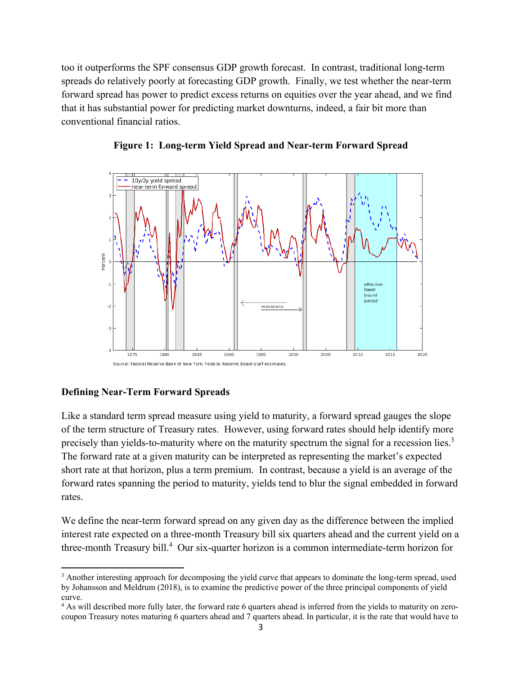too it outperforms the SPF consensus GDP growth forecast. In contrast, traditional long-term spreads do relatively poorly at forecasting GDP growth. Finally, we test whether the near-term forward spread has power to predict excess returns on equities over the year ahead, and we find that it has substantial power for predicting market downturns, indeed, a fair bit more than conventional financial ratios.





## **Defining Near-Term Forward Spreads**

Like a standard term spread measure using yield to maturity, a forward spread gauges the slope of the term structure of Treasury rates. However, using forward rates should help identify more precisely than yields-to-maturity where on the maturity spectrum the signal for a recession lies.<sup>3</sup> The forward rate at a given maturity can be interpreted as representing the market's expected short rate at that horizon, plus a term premium. In contrast, because a yield is an average of the forward rates spanning the period to maturity, yields tend to blur the signal embedded in forward rates.

We define the near-term forward spread on any given day as the difference between the implied interest rate expected on a three-month Treasury bill six quarters ahead and the current yield on a three-month Treasury bill.<sup>4</sup> Our six-quarter horizon is a common intermediate-term horizon for

<sup>&</sup>lt;sup>3</sup> Another interesting approach for decomposing the yield curve that appears to dominate the long-term spread, used by Johansson and Meldrum (2018), is to examine the predictive power of the three principal components of yield curve.

<sup>&</sup>lt;sup>4</sup> As will described more fully later, the forward rate 6 quarters ahead is inferred from the yields to maturity on zerocoupon Treasury notes maturing 6 quarters ahead and 7 quarters ahead. In particular, it is the rate that would have to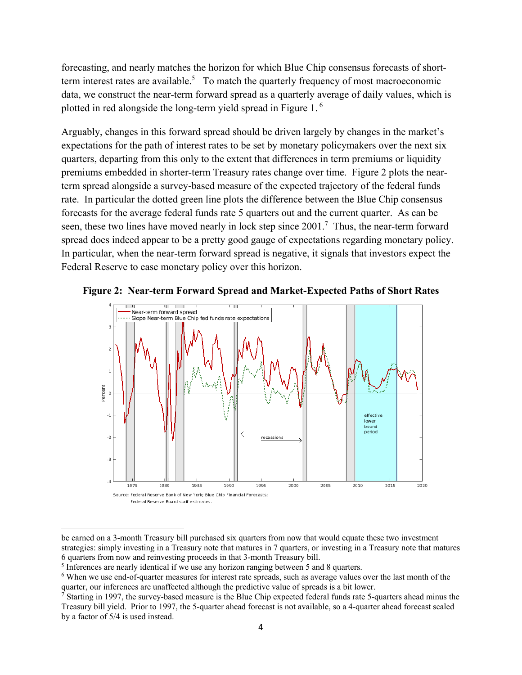forecasting, and nearly matches the horizon for which Blue Chip consensus forecasts of shortterm interest rates are available.<sup>5</sup> To match the quarterly frequency of most macroeconomic data, we construct the near-term forward spread as a quarterly average of daily values, which is plotted in red alongside the long-term yield spread in Figure 1. $^6$ 

Arguably, changes in this forward spread should be driven largely by changes in the market's expectations for the path of interest rates to be set by monetary policymakers over the next six quarters, departing from this only to the extent that differences in term premiums or liquidity premiums embedded in shorter-term Treasury rates change over time. Figure 2 plots the nearterm spread alongside a survey-based measure of the expected trajectory of the federal funds rate. In particular the dotted green line plots the difference between the Blue Chip consensus forecasts for the average federal funds rate 5 quarters out and the current quarter. As can be seen, these two lines have moved nearly in lock step since  $2001$ .<sup>7</sup> Thus, the near-term forward spread does indeed appear to be a pretty good gauge of expectations regarding monetary policy. In particular, when the near-term forward spread is negative, it signals that investors expect the Federal Reserve to ease monetary policy over this horizon.



**Figure 2: Near-term Forward Spread and Market-Expected Paths of Short Rates** 

be earned on a 3-month Treasury bill purchased six quarters from now that would equate these two investment strategies: simply investing in a Treasury note that matures in 7 quarters, or investing in a Treasury note that matures 6 quarters from now and reinvesting proceeds in that 3-month Treasury bill. 5

 $<sup>5</sup>$  Inferences are nearly identical if we use any horizon ranging between 5 and 8 quarters.</sup>

<sup>&</sup>lt;sup>6</sup> When we use end-of-quarter measures for interest rate spreads, such as average values over the last month of the quarter, our inferences are unaffected although the predictive value of spreads is a bit lower.

<sup>&</sup>lt;sup>7</sup> Starting in 1997, the survey-based measure is the Blue Chip expected federal funds rate 5-quarters ahead minus the Treasury bill yield. Prior to 1997, the 5-quarter ahead forecast is not available, so a 4-quarter ahead forecast scaled by a factor of 5/4 is used instead.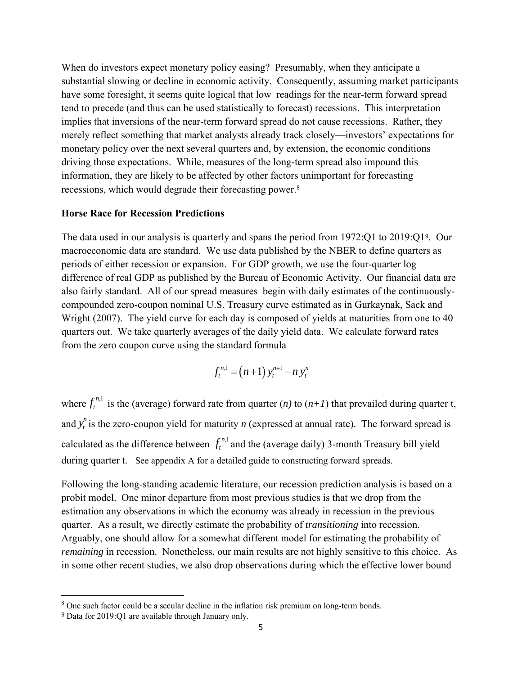When do investors expect monetary policy easing? Presumably, when they anticipate a substantial slowing or decline in economic activity. Consequently, assuming market participants have some foresight, it seems quite logical that low readings for the near-term forward spread tend to precede (and thus can be used statistically to forecast) recessions. This interpretation implies that inversions of the near-term forward spread do not cause recessions. Rather, they merely reflect something that market analysts already track closely—investors' expectations for monetary policy over the next several quarters and, by extension, the economic conditions driving those expectations. While, measures of the long-term spread also impound this information, they are likely to be affected by other factors unimportant for forecasting recessions, which would degrade their forecasting power.<sup>8</sup>

#### **Horse Race for Recession Predictions**

The data used in our analysis is quarterly and spans the period from 1972:Q1 to 2019:Q19. Our macroeconomic data are standard. We use data published by the NBER to define quarters as periods of either recession or expansion. For GDP growth, we use the four-quarter log difference of real GDP as published by the Bureau of Economic Activity. Our financial data are also fairly standard. All of our spread measures begin with daily estimates of the continuouslycompounded zero-coupon nominal U.S. Treasury curve estimated as in Gurkaynak, Sack and Wright (2007). The yield curve for each day is composed of yields at maturities from one to 40 quarters out. We take quarterly averages of the daily yield data. We calculate forward rates from the zero coupon curve using the standard formula

$$
f_t^{n,1} = (n+1) y_t^{n+1} - n y_t^n
$$

where  $f_t^{n,1}$  is the (average) forward rate from quarter (*n*) to (*n+1*) that prevailed during quarter t, and  $y_t^n$  is the zero-coupon yield for maturity *n* (expressed at annual rate). The forward spread is calculated as the difference between  $f_t^{n,1}$  and the (average daily) 3-month Treasury bill yield during quarter t. See appendix A for a detailed guide to constructing forward spreads.

Following the long-standing academic literature, our recession prediction analysis is based on a probit model. One minor departure from most previous studies is that we drop from the estimation any observations in which the economy was already in recession in the previous quarter. As a result, we directly estimate the probability of *transitioning* into recession. Arguably, one should allow for a somewhat different model for estimating the probability of *remaining* in recession. Nonetheless, our main results are not highly sensitive to this choice. As in some other recent studies, we also drop observations during which the effective lower bound

 $8$  One such factor could be a secular decline in the inflation risk premium on long-term bonds.

<sup>9</sup> Data for 2019:Q1 are available through January only.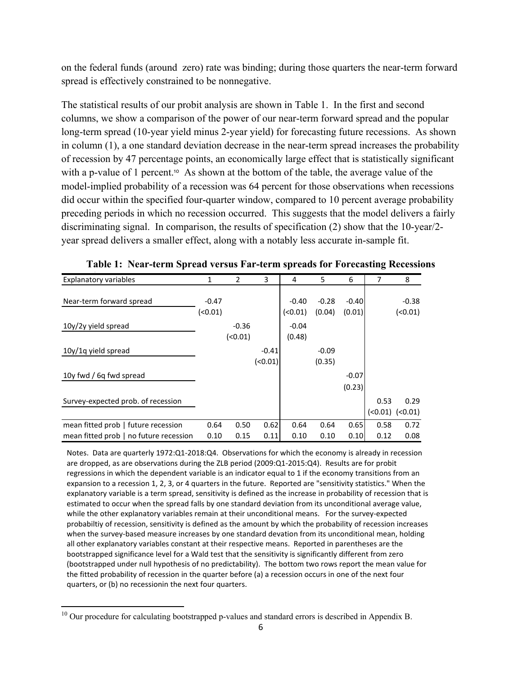on the federal funds (around zero) rate was binding; during those quarters the near-term forward spread is effectively constrained to be nonnegative.

The statistical results of our probit analysis are shown in Table 1. In the first and second columns, we show a comparison of the power of our near-term forward spread and the popular long-term spread (10-year yield minus 2-year yield) for forecasting future recessions. As shown in column (1), a one standard deviation decrease in the near-term spread increases the probability of recession by 47 percentage points, an economically large effect that is statistically significant with a p-value of 1 percent.<sup>10</sup> As shown at the bottom of the table, the average value of the model-implied probability of a recession was 64 percent for those observations when recessions did occur within the specified four-quarter window, compared to 10 percent average probability preceding periods in which no recession occurred. This suggests that the model delivers a fairly discriminating signal. In comparison, the results of specification (2) show that the 10-year/2 year spread delivers a smaller effect, along with a notably less accurate in-sample fit.

| <b>Explanatory variables</b>           | 1       | 2       | 3       | 4       | 5       | 6       | 7      | 8        |
|----------------------------------------|---------|---------|---------|---------|---------|---------|--------|----------|
|                                        |         |         |         |         |         |         |        |          |
| Near-term forward spread               | $-0.47$ |         |         | $-0.40$ | $-0.28$ | $-0.40$ |        | $-0.38$  |
|                                        | (<0.01) |         |         | (0.01)  | (0.04)  | (0.01)  |        | (0.01)   |
| 10y/2y yield spread                    |         | $-0.36$ |         | $-0.04$ |         |         |        |          |
|                                        |         | (0.01)  |         | (0.48)  |         |         |        |          |
| 10y/1q yield spread                    |         |         | $-0.41$ |         | $-0.09$ |         |        |          |
|                                        |         |         | (0.01)  |         | (0.35)  |         |        |          |
| 10y fwd / 6q fwd spread                |         |         |         |         |         | $-0.07$ |        |          |
|                                        |         |         |         |         |         | (0.23)  |        |          |
| Survey-expected prob. of recession     |         |         |         |         |         |         | 0.53   | 0.29     |
|                                        |         |         |         |         |         |         | (0.01) | $(0.01)$ |
| mean fitted prob   future recession    | 0.64    | 0.50    | 0.62    | 0.64    | 0.64    | 0.65    | 0.58   | 0.72     |
| mean fitted prob   no future recession | 0.10    | 0.15    | 0.11    | 0.10    | 0.10    | 0.10    | 0.12   | 0.08     |

**Table 1: Near-term Spread versus Far-term spreads for Forecasting Recessions** g q

Notes. Data are quarterly 1972:Q1‐2018:Q4. Observations for which the economy is already in recession are dropped, as are observations during the ZLB period (2009:Q1‐2015:Q4). Results are for probit regressions in which the dependent variable is an indicator equal to 1 if the economy transitions from an expansion to a recession 1, 2, 3, or 4 quarters in the future. Reported are "sensitivity statistics." When the explanatory variable is a term spread, sensitivity is defined as the increase in probability of recession that is estimated to occur when the spread falls by one standard deviation from its unconditional average value, while the other explanatory variables remain at their unconditional means. For the survey-expected probabiltiy of recession, sensitivity is defined as the amount by which the probability of recession increases when the survey-based measure increases by one standard devation from its unconditional mean, holding all other explanatory variables constant at their respective means. Reported in parentheses are the bootstrapped significance level for a Wald test that the sensitivity is significantly different from zero (bootstrapped under null hypothesis of no predictability). The bottom two rows report the mean value for the fitted probability of recession in the quarter before (a) a recession occurs in one of the next four quarters, or (b) no recessionin the next four quarters.

 $10$  Our procedure for calculating bootstrapped p-values and standard errors is described in Appendix B.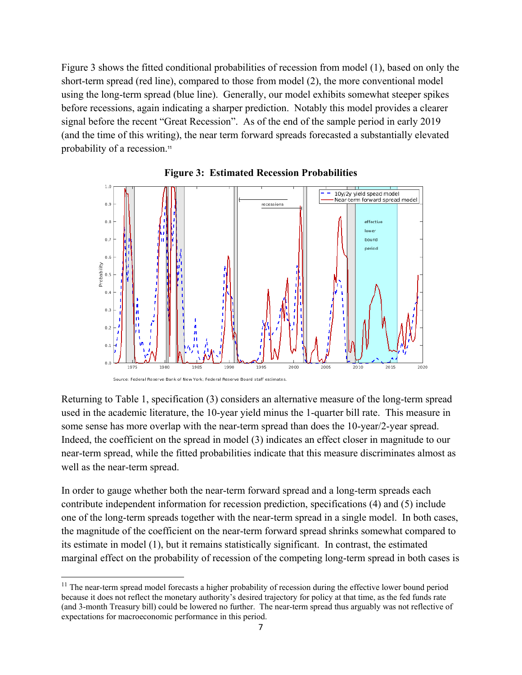Figure 3 shows the fitted conditional probabilities of recession from model (1), based on only the short-term spread (red line), compared to those from model (2), the more conventional model using the long-term spread (blue line). Generally, our model exhibits somewhat steeper spikes before recessions, again indicating a sharper prediction. Notably this model provides a clearer signal before the recent "Great Recession". As of the end of the sample period in early 2019 (and the time of this writing), the near term forward spreads forecasted a substantially elevated probability of a recession.<sup>11</sup>





Returning to Table 1, specification (3) considers an alternative measure of the long-term spread used in the academic literature, the 10-year yield minus the 1-quarter bill rate. This measure in some sense has more overlap with the near-term spread than does the 10-year/2-year spread. Indeed, the coefficient on the spread in model (3) indicates an effect closer in magnitude to our near-term spread, while the fitted probabilities indicate that this measure discriminates almost as well as the near-term spread.

In order to gauge whether both the near-term forward spread and a long-term spreads each contribute independent information for recession prediction, specifications (4) and (5) include one of the long-term spreads together with the near-term spread in a single model. In both cases, the magnitude of the coefficient on the near-term forward spread shrinks somewhat compared to its estimate in model (1), but it remains statistically significant. In contrast, the estimated marginal effect on the probability of recession of the competing long-term spread in both cases is

 $11$  The near-term spread model forecasts a higher probability of recession during the effective lower bound period because it does not reflect the monetary authority's desired trajectory for policy at that time, as the fed funds rate (and 3-month Treasury bill) could be lowered no further. The near-term spread thus arguably was not reflective of expectations for macroeconomic performance in this period.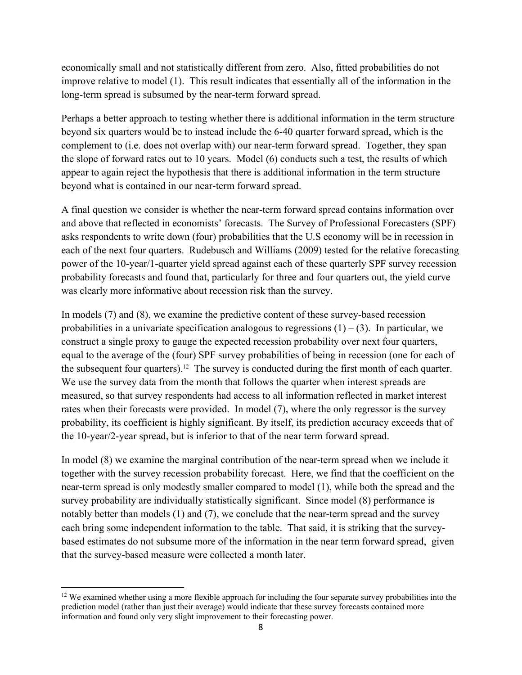economically small and not statistically different from zero. Also, fitted probabilities do not improve relative to model (1). This result indicates that essentially all of the information in the long-term spread is subsumed by the near-term forward spread.

Perhaps a better approach to testing whether there is additional information in the term structure beyond six quarters would be to instead include the 6-40 quarter forward spread, which is the complement to (i.e. does not overlap with) our near-term forward spread. Together, they span the slope of forward rates out to 10 years. Model (6) conducts such a test, the results of which appear to again reject the hypothesis that there is additional information in the term structure beyond what is contained in our near-term forward spread.

A final question we consider is whether the near-term forward spread contains information over and above that reflected in economists' forecasts. The Survey of Professional Forecasters (SPF) asks respondents to write down (four) probabilities that the U.S economy will be in recession in each of the next four quarters. Rudebusch and Williams (2009) tested for the relative forecasting power of the 10-year/1-quarter yield spread against each of these quarterly SPF survey recession probability forecasts and found that, particularly for three and four quarters out, the yield curve was clearly more informative about recession risk than the survey.

In models (7) and (8), we examine the predictive content of these survey-based recession probabilities in a univariate specification analogous to regressions  $(1) - (3)$ . In particular, we construct a single proxy to gauge the expected recession probability over next four quarters, equal to the average of the (four) SPF survey probabilities of being in recession (one for each of the subsequent four quarters).<sup>12</sup> The survey is conducted during the first month of each quarter. We use the survey data from the month that follows the quarter when interest spreads are measured, so that survey respondents had access to all information reflected in market interest rates when their forecasts were provided. In model (7), where the only regressor is the survey probability, its coefficient is highly significant. By itself, its prediction accuracy exceeds that of the 10-year/2-year spread, but is inferior to that of the near term forward spread.

In model (8) we examine the marginal contribution of the near-term spread when we include it together with the survey recession probability forecast. Here, we find that the coefficient on the near-term spread is only modestly smaller compared to model (1), while both the spread and the survey probability are individually statistically significant. Since model (8) performance is notably better than models (1) and (7), we conclude that the near-term spread and the survey each bring some independent information to the table. That said, it is striking that the surveybased estimates do not subsume more of the information in the near term forward spread, given that the survey-based measure were collected a month later.

  $12$  We examined whether using a more flexible approach for including the four separate survey probabilities into the prediction model (rather than just their average) would indicate that these survey forecasts contained more information and found only very slight improvement to their forecasting power.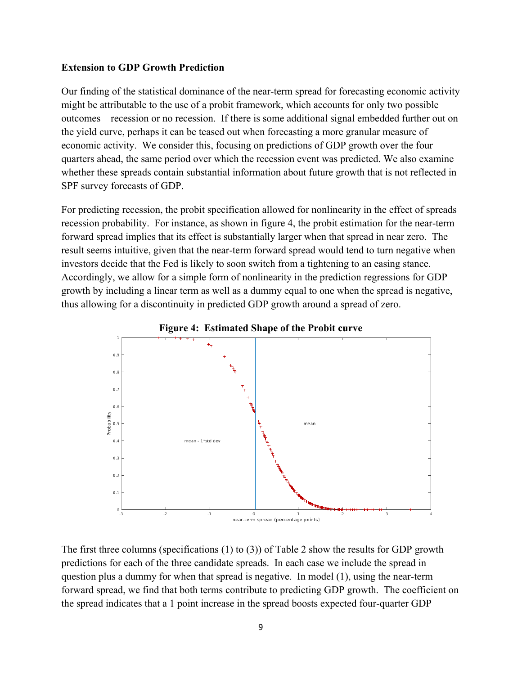#### **Extension to GDP Growth Prediction**

Our finding of the statistical dominance of the near-term spread for forecasting economic activity might be attributable to the use of a probit framework, which accounts for only two possible outcomes—recession or no recession. If there is some additional signal embedded further out on the yield curve, perhaps it can be teased out when forecasting a more granular measure of economic activity. We consider this, focusing on predictions of GDP growth over the four quarters ahead, the same period over which the recession event was predicted. We also examine whether these spreads contain substantial information about future growth that is not reflected in SPF survey forecasts of GDP.

For predicting recession, the probit specification allowed for nonlinearity in the effect of spreads recession probability. For instance, as shown in figure 4, the probit estimation for the near-term forward spread implies that its effect is substantially larger when that spread in near zero. The result seems intuitive, given that the near-term forward spread would tend to turn negative when investors decide that the Fed is likely to soon switch from a tightening to an easing stance. Accordingly, we allow for a simple form of nonlinearity in the prediction regressions for GDP growth by including a linear term as well as a dummy equal to one when the spread is negative, thus allowing for a discontinuity in predicted GDP growth around a spread of zero.



The first three columns (specifications (1) to (3)) of Table 2 show the results for GDP growth predictions for each of the three candidate spreads. In each case we include the spread in question plus a dummy for when that spread is negative. In model (1), using the near-term forward spread, we find that both terms contribute to predicting GDP growth. The coefficient on the spread indicates that a 1 point increase in the spread boosts expected four-quarter GDP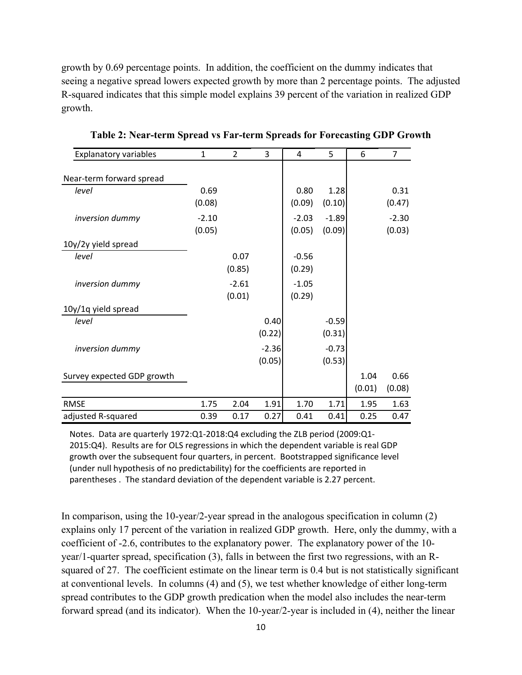growth by 0.69 percentage points. In addition, the coefficient on the dummy indicates that seeing a negative spread lowers expected growth by more than 2 percentage points. The adjusted R-squared indicates that this simple model explains 39 percent of the variation in realized GDP growth.

| <b>Explanatory variables</b> | 1       | $\overline{2}$ | 3       | 4       | 5       | 6      | 7       |
|------------------------------|---------|----------------|---------|---------|---------|--------|---------|
| Near-term forward spread     |         |                |         |         |         |        |         |
| level                        | 0.69    |                |         | 0.80    | 1.28    |        | 0.31    |
|                              | (0.08)  |                |         | (0.09)  | (0.10)  |        | (0.47)  |
| inversion dummy              | $-2.10$ |                |         | $-2.03$ | $-1.89$ |        | $-2.30$ |
|                              | (0.05)  |                |         | (0.05)  | (0.09)  |        | (0.03)  |
| 10y/2y yield spread          |         |                |         |         |         |        |         |
| level                        |         | 0.07           |         | $-0.56$ |         |        |         |
|                              |         | (0.85)         |         | (0.29)  |         |        |         |
| inversion dummy              |         | $-2.61$        |         | $-1.05$ |         |        |         |
|                              |         | (0.01)         |         | (0.29)  |         |        |         |
| 10y/1q yield spread          |         |                |         |         |         |        |         |
| level                        |         |                | 0.40    |         | $-0.59$ |        |         |
|                              |         |                | (0.22)  |         | (0.31)  |        |         |
| inversion dummy              |         |                | $-2.36$ |         | $-0.73$ |        |         |
|                              |         |                | (0.05)  |         | (0.53)  |        |         |
| Survey expected GDP growth   |         |                |         |         |         | 1.04   | 0.66    |
|                              |         |                |         |         |         | (0.01) | (0.08)  |
| <b>RMSE</b>                  | 1.75    | 2.04           | 1.91    | 1.70    | 1.71    | 1.95   | 1.63    |
| adjusted R-squared           | 0.39    | 0.17           | 0.27    | 0.41    | 0.41    | 0.25   | 0.47    |

**Table 2: Near-term Spread vs Far-term Spreads for Forecasting GDP Growth** 

Notes. Data are quarterly 1972:Q1-2018:Q4 excluding the ZLB period (2009:Q1-2015:Q4). Results are for OLS regressions in which the dependent variable is real GDP growth over the subsequent four quarters, in percent. Bootstrapped significance level (under null hypothesis of no predictability) for the coefficients are reported in parentheses . The standard deviation of the dependent variable is 2.27 percent.

In comparison, using the 10-year/2-year spread in the analogous specification in column (2) explains only 17 percent of the variation in realized GDP growth. Here, only the dummy, with a coefficient of -2.6, contributes to the explanatory power. The explanatory power of the 10 year/1-quarter spread, specification (3), falls in between the first two regressions, with an Rsquared of 27. The coefficient estimate on the linear term is 0.4 but is not statistically significant at conventional levels. In columns (4) and (5), we test whether knowledge of either long-term spread contributes to the GDP growth predication when the model also includes the near-term forward spread (and its indicator). When the 10-year/2-year is included in (4), neither the linear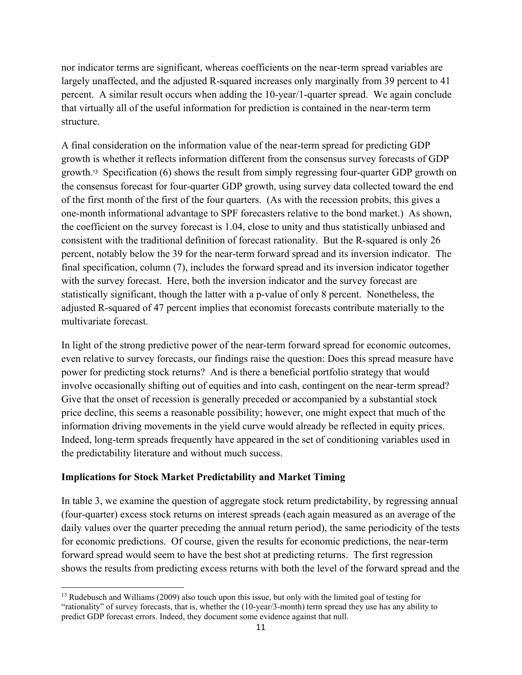nor indicator terms are significant, whereas coefficients on the near-term spread variables are largely unaffected, and the adjusted R-squared increases only marginally from 39 percent to 41 percent. A similar result occurs when adding the 10-year/1-quarter spread. We again conclude that virtually all of the useful information for prediction is contained in the near-term term structure.

A final consideration on the information value of the near-term spread for predicting GDP growth is whether it reflects information different from the consensus survey forecasts of GDP growth.13 Specification (6) shows the result from simply regressing four-quarter GDP growth on the consensus forecast for four-quarter GDP growth, using survey data collected toward the end of the first month of the first of the four quarters. (As with the recession probits, this gives a one-month informational advantage to SPF forecasters relative to the bond market.) As shown, the coefficient on the survey forecast is 1.04, close to unity and thus statistically unbiased and consistent with the traditional definition of forecast rationality. But the R-squared is only 26 percent, notably below the 39 for the near-term forward spread and its inversion indicator. The final specification, column (7), includes the forward spread and its inversion indicator together with the survey forecast. Here, both the inversion indicator and the survey forecast are statistically significant, though the latter with a p-value of only 8 percent. Nonetheless, the adjusted R-squared of 47 percent implies that economist forecasts contribute materially to the multivariate forecast.

In light of the strong predictive power of the near-term forward spread for economic outcomes, even relative to survey forecasts, our findings raise the question: Does this spread measure have power for predicting stock returns? And is there a beneficial portfolio strategy that would involve occasionally shifting out of equities and into cash, contingent on the near-term spread? Give that the onset of recession is generally preceded or accompanied by a substantial stock price decline, this seems a reasonable possibility; however, one might expect that much of the information driving movements in the yield curve would already be reflected in equity prices. Indeed, long-term spreads frequently have appeared in the set of conditioning variables used in the predictability literature and without much success.

# **Implications for Stock Market Predictability and Market Timing**

In table 3, we examine the question of aggregate stock return predictability, by regressing annual (four-quarter) excess stock returns on interest spreads (each again measured as an average of the daily values over the quarter preceding the annual return period), the same periodicity of the tests for economic predictions. Of course, given the results for economic predictions, the near-term forward spread would seem to have the best shot at predicting returns. The first regression shows the results from predicting excess returns with both the level of the forward spread and the

 <sup>13</sup> Rudebusch and Williams (2009) also touch upon this issue, but only with the limited goal of testing for "rationality" of survey forecasts, that is, whether the (10-year/3-month) term spread they use has any ability to predict GDP forecast errors. Indeed, they document some evidence against that null.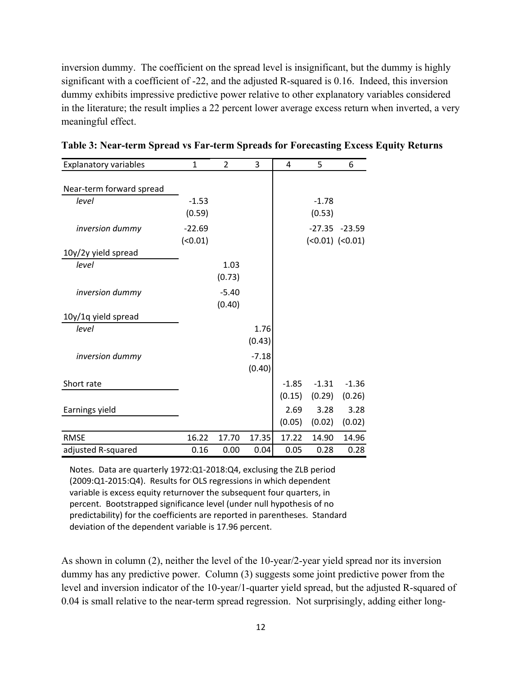inversion dummy. The coefficient on the spread level is insignificant, but the dummy is highly significant with a coefficient of -22, and the adjusted R-squared is 0.16. Indeed, this inversion dummy exhibits impressive predictive power relative to other explanatory variables considered in the literature; the result implies a 22 percent lower average excess return when inverted, a very meaningful effect.

| <b>Explanatory variables</b> | $\mathbf{1}$ | $\overline{2}$ | 3       | 4       | 5       | 6                 |
|------------------------------|--------------|----------------|---------|---------|---------|-------------------|
|                              |              |                |         |         |         |                   |
| Near-term forward spread     |              |                |         |         |         |                   |
| level                        | $-1.53$      |                |         |         | $-1.78$ |                   |
|                              | (0.59)       |                |         |         | (0.53)  |                   |
| inversion dummy              | $-22.69$     |                |         |         |         | $-27.35 -23.59$   |
|                              | (0.01)       |                |         |         |         | $(0.01)$ $(0.01)$ |
| 10y/2y yield spread          |              |                |         |         |         |                   |
| level                        |              | 1.03           |         |         |         |                   |
|                              |              | (0.73)         |         |         |         |                   |
| inversion dummy              |              | $-5.40$        |         |         |         |                   |
|                              |              | (0.40)         |         |         |         |                   |
| 10y/1q yield spread          |              |                |         |         |         |                   |
| level                        |              |                | 1.76    |         |         |                   |
|                              |              |                | (0.43)  |         |         |                   |
| inversion dummy              |              |                | $-7.18$ |         |         |                   |
|                              |              |                | (0.40)  |         |         |                   |
| Short rate                   |              |                |         | $-1.85$ | $-1.31$ | $-1.36$           |
|                              |              |                |         | (0.15)  | (0.29)  | (0.26)            |
| Earnings yield               |              |                |         | 2.69    | 3.28    | 3.28              |
|                              |              |                |         | (0.05)  | (0.02)  | (0.02)            |
| <b>RMSE</b>                  | 16.22        | 17.70          | 17.35   | 17.22   | 14.90   | 14.96             |
| adjusted R-squared           | 0.16         | 0.00           | 0.04    | 0.05    | 0.28    | 0.28              |

**Table 3: Near-term Spread vs Far-term Spreads for Forecasting Excess Equity Returns** 

Notes. Data are quarterly 1972:Q1‐2018:Q4, exclusing the ZLB period (2009:Q1‐2015:Q4). Results for OLS regressions in which dependent variable is excess equity returnover the subsequent four quarters, in percent. Bootstrapped significance level (under null hypothesis of no predictability) for the coefficients are reported in parentheses. Standard deviation of the dependent variable is 17.96 percent.

As shown in column (2), neither the level of the 10-year/2-year yield spread nor its inversion dummy has any predictive power. Column (3) suggests some joint predictive power from the level and inversion indicator of the 10-year/1-quarter yield spread, but the adjusted R-squared of 0.04 is small relative to the near-term spread regression. Not surprisingly, adding either long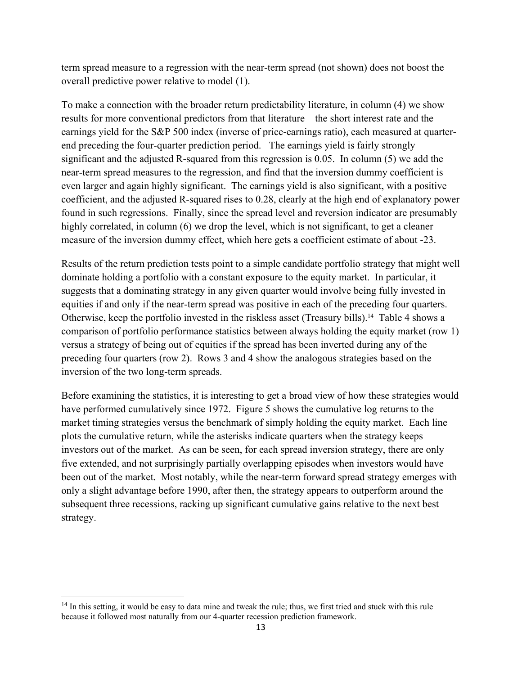term spread measure to a regression with the near-term spread (not shown) does not boost the overall predictive power relative to model (1).

To make a connection with the broader return predictability literature, in column (4) we show results for more conventional predictors from that literature—the short interest rate and the earnings yield for the S&P 500 index (inverse of price-earnings ratio), each measured at quarterend preceding the four-quarter prediction period. The earnings yield is fairly strongly significant and the adjusted R-squared from this regression is 0.05. In column (5) we add the near-term spread measures to the regression, and find that the inversion dummy coefficient is even larger and again highly significant. The earnings yield is also significant, with a positive coefficient, and the adjusted R-squared rises to 0.28, clearly at the high end of explanatory power found in such regressions. Finally, since the spread level and reversion indicator are presumably highly correlated, in column (6) we drop the level, which is not significant, to get a cleaner measure of the inversion dummy effect, which here gets a coefficient estimate of about -23.

Results of the return prediction tests point to a simple candidate portfolio strategy that might well dominate holding a portfolio with a constant exposure to the equity market. In particular, it suggests that a dominating strategy in any given quarter would involve being fully invested in equities if and only if the near-term spread was positive in each of the preceding four quarters. Otherwise, keep the portfolio invested in the riskless asset (Treasury bills).<sup>14</sup> Table 4 shows a comparison of portfolio performance statistics between always holding the equity market (row 1) versus a strategy of being out of equities if the spread has been inverted during any of the preceding four quarters (row 2). Rows 3 and 4 show the analogous strategies based on the inversion of the two long-term spreads.

Before examining the statistics, it is interesting to get a broad view of how these strategies would have performed cumulatively since 1972. Figure 5 shows the cumulative log returns to the market timing strategies versus the benchmark of simply holding the equity market. Each line plots the cumulative return, while the asterisks indicate quarters when the strategy keeps investors out of the market. As can be seen, for each spread inversion strategy, there are only five extended, and not surprisingly partially overlapping episodes when investors would have been out of the market. Most notably, while the near-term forward spread strategy emerges with only a slight advantage before 1990, after then, the strategy appears to outperform around the subsequent three recessions, racking up significant cumulative gains relative to the next best strategy.

 $14$  In this setting, it would be easy to data mine and tweak the rule; thus, we first tried and stuck with this rule because it followed most naturally from our 4-quarter recession prediction framework.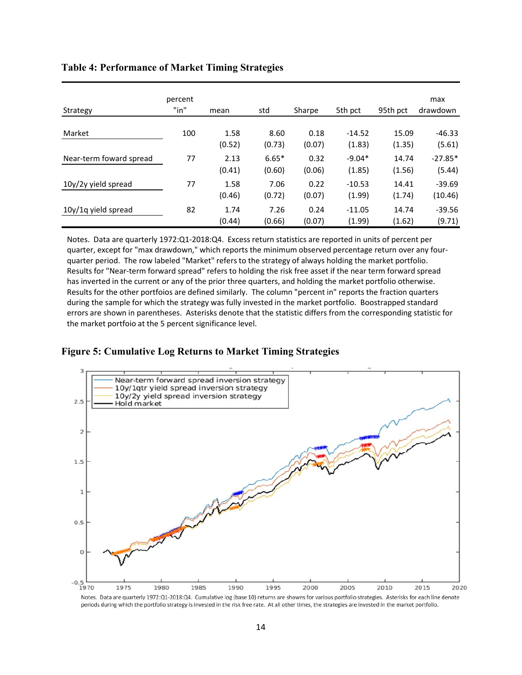| Strategy                | percent<br>"in" | mean           | std               | Sharpe         | 5th pct            | 95th pct        | max<br>drawdown     |
|-------------------------|-----------------|----------------|-------------------|----------------|--------------------|-----------------|---------------------|
| Market                  | 100             | 1.58<br>(0.52) | 8.60<br>(0.73)    | 0.18<br>(0.07) | $-14.52$<br>(1.83) | 15.09<br>(1.35) | $-46.33$<br>(5.61)  |
| Near-term foward spread | 77              | 2.13<br>(0.41) | $6.65*$<br>(0.60) | 0.32<br>(0.06) | $-9.04*$<br>(1.85) | 14.74<br>(1.56) | $-27.85*$<br>(5.44) |
| 10y/2y yield spread     | 77              | 1.58<br>(0.46) | 7.06<br>(0.72)    | 0.22<br>(0.07) | $-10.53$<br>(1.99) | 14.41<br>(1.74) | $-39.69$<br>(10.46) |
| 10y/1q yield spread     | 82              | 1.74<br>(0.44) | 7.26<br>(0.66)    | 0.24<br>(0.07) | $-11.05$<br>(1.99) | 14.74<br>(1.62) | $-39.56$<br>(9.71)  |

#### **Table 4: Performance of Market Timing Strategies**

Notes. Data are quarterly 1972:Q1‐2018:Q4. Excess return statistics are reported in units of percent per quarter, except for "max drawdown," which reports the minimum observed percentage return over any four‐ quarter period. The row labeled "Market" refers to the strategy of always holding the market portfolio. Results for "Near‐term forward spread" refers to holding the risk free asset if the near term forward spread has inverted in the current or any of the prior three quarters, and holding the market portfolio otherwise. Results for the other portfoios are defined similarly. The column "percent in" reports the fraction quarters during the sample for which the strategy was fully invested in the market portfolio. Boostrapped standard errors are shown in parentheses. Asterisks denote that the statistic differs from the corresponding statistic for the market portfoio at the 5 percent significance level.

#### **Figure 5: Cumulative Log Returns to Market Timing Strategies**



Notes. Data are quarterly 1972:Q1-2018:Q4. Cumulative log (base 10) returns are showns for various portfolio strategies. Asterisks for each line denote periods during which the portfolio strategy is invested in the risk free rate. At all other times, the strategies are invested in the market portfolio.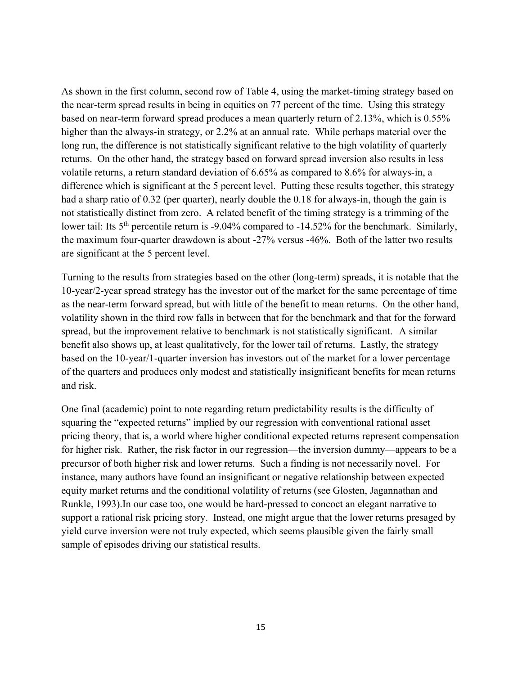As shown in the first column, second row of Table 4, using the market-timing strategy based on the near-term spread results in being in equities on 77 percent of the time. Using this strategy based on near-term forward spread produces a mean quarterly return of 2.13%, which is 0.55% higher than the always-in strategy, or 2.2% at an annual rate. While perhaps material over the long run, the difference is not statistically significant relative to the high volatility of quarterly returns. On the other hand, the strategy based on forward spread inversion also results in less volatile returns, a return standard deviation of 6.65% as compared to 8.6% for always-in, a difference which is significant at the 5 percent level. Putting these results together, this strategy had a sharp ratio of 0.32 (per quarter), nearly double the 0.18 for always-in, though the gain is not statistically distinct from zero. A related benefit of the timing strategy is a trimming of the lower tail: Its  $5<sup>th</sup>$  percentile return is -9.04% compared to -14.52% for the benchmark. Similarly, the maximum four-quarter drawdown is about -27% versus -46%. Both of the latter two results are significant at the 5 percent level.

Turning to the results from strategies based on the other (long-term) spreads, it is notable that the 10-year/2-year spread strategy has the investor out of the market for the same percentage of time as the near-term forward spread, but with little of the benefit to mean returns. On the other hand, volatility shown in the third row falls in between that for the benchmark and that for the forward spread, but the improvement relative to benchmark is not statistically significant. A similar benefit also shows up, at least qualitatively, for the lower tail of returns. Lastly, the strategy based on the 10-year/1-quarter inversion has investors out of the market for a lower percentage of the quarters and produces only modest and statistically insignificant benefits for mean returns and risk.

One final (academic) point to note regarding return predictability results is the difficulty of squaring the "expected returns" implied by our regression with conventional rational asset pricing theory, that is, a world where higher conditional expected returns represent compensation for higher risk. Rather, the risk factor in our regression—the inversion dummy—appears to be a precursor of both higher risk and lower returns. Such a finding is not necessarily novel. For instance, many authors have found an insignificant or negative relationship between expected equity market returns and the conditional volatility of returns (see Glosten, Jagannathan and Runkle, 1993).In our case too, one would be hard-pressed to concoct an elegant narrative to support a rational risk pricing story. Instead, one might argue that the lower returns presaged by yield curve inversion were not truly expected, which seems plausible given the fairly small sample of episodes driving our statistical results.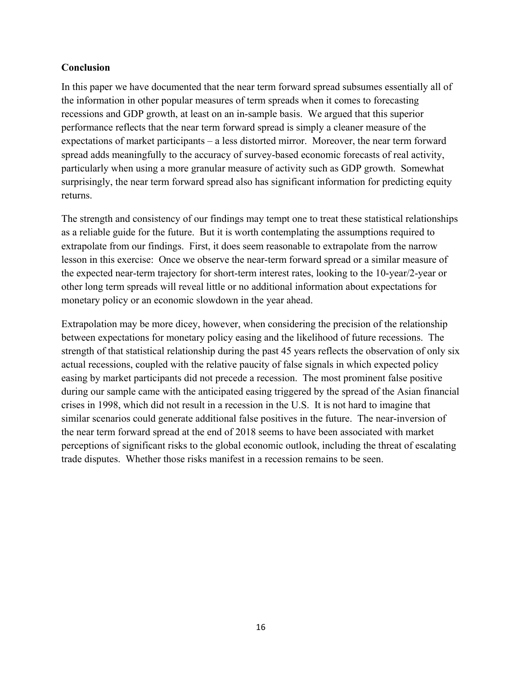## **Conclusion**

In this paper we have documented that the near term forward spread subsumes essentially all of the information in other popular measures of term spreads when it comes to forecasting recessions and GDP growth, at least on an in-sample basis. We argued that this superior performance reflects that the near term forward spread is simply a cleaner measure of the expectations of market participants – a less distorted mirror. Moreover, the near term forward spread adds meaningfully to the accuracy of survey-based economic forecasts of real activity, particularly when using a more granular measure of activity such as GDP growth. Somewhat surprisingly, the near term forward spread also has significant information for predicting equity returns.

The strength and consistency of our findings may tempt one to treat these statistical relationships as a reliable guide for the future. But it is worth contemplating the assumptions required to extrapolate from our findings. First, it does seem reasonable to extrapolate from the narrow lesson in this exercise: Once we observe the near-term forward spread or a similar measure of the expected near-term trajectory for short-term interest rates, looking to the 10-year/2-year or other long term spreads will reveal little or no additional information about expectations for monetary policy or an economic slowdown in the year ahead.

Extrapolation may be more dicey, however, when considering the precision of the relationship between expectations for monetary policy easing and the likelihood of future recessions. The strength of that statistical relationship during the past 45 years reflects the observation of only six actual recessions, coupled with the relative paucity of false signals in which expected policy easing by market participants did not precede a recession. The most prominent false positive during our sample came with the anticipated easing triggered by the spread of the Asian financial crises in 1998, which did not result in a recession in the U.S. It is not hard to imagine that similar scenarios could generate additional false positives in the future. The near-inversion of the near term forward spread at the end of 2018 seems to have been associated with market perceptions of significant risks to the global economic outlook, including the threat of escalating trade disputes. Whether those risks manifest in a recession remains to be seen.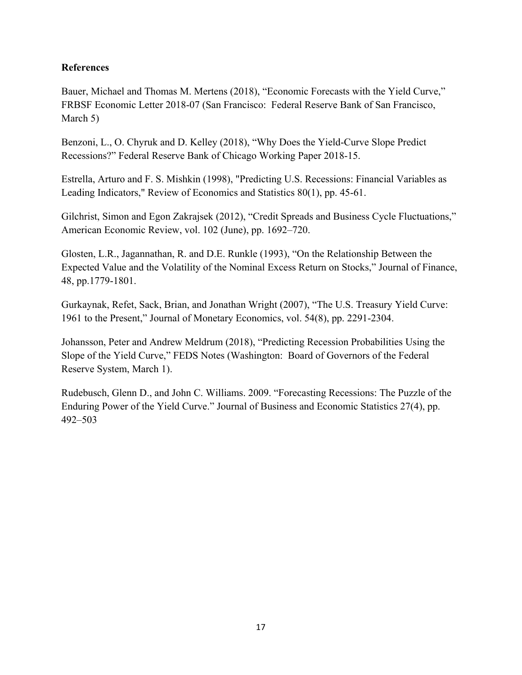# **References**

Bauer, Michael and Thomas M. Mertens (2018), "Economic Forecasts with the Yield Curve," FRBSF Economic Letter 2018-07 (San Francisco: Federal Reserve Bank of San Francisco, March 5)

Benzoni, L., O. Chyruk and D. Kelley (2018), "Why Does the Yield-Curve Slope Predict Recessions?" Federal Reserve Bank of Chicago Working Paper 2018-15.

Estrella, Arturo and F. S. Mishkin (1998), "Predicting U.S. Recessions: Financial Variables as Leading Indicators," Review of Economics and Statistics 80(1), pp. 45-61.

Gilchrist, Simon and Egon Zakrajsek (2012), "Credit Spreads and Business Cycle Fluctuations," American Economic Review, vol. 102 (June), pp. 1692–720.

Glosten, L.R., Jagannathan, R. and D.E. Runkle (1993), "On the Relationship Between the Expected Value and the Volatility of the Nominal Excess Return on Stocks," Journal of Finance, 48, pp.1779-1801.

Gurkaynak, Refet, Sack, Brian, and Jonathan Wright (2007), "The U.S. Treasury Yield Curve: 1961 to the Present," Journal of Monetary Economics, vol. 54(8), pp. 2291-2304.

Johansson, Peter and Andrew Meldrum (2018), "Predicting Recession Probabilities Using the Slope of the Yield Curve," FEDS Notes (Washington: Board of Governors of the Federal Reserve System, March 1).

Rudebusch, Glenn D., and John C. Williams. 2009. "Forecasting Recessions: The Puzzle of the Enduring Power of the Yield Curve." Journal of Business and Economic Statistics 27(4), pp. 492–503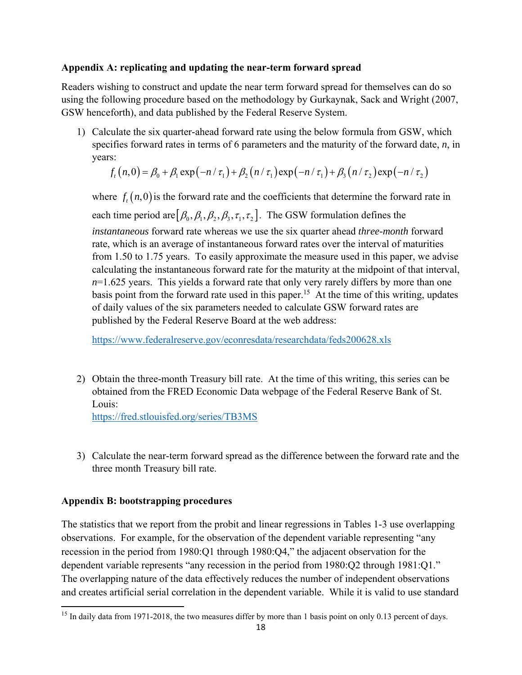## **Appendix A: replicating and updating the near-term forward spread**

Readers wishing to construct and update the near term forward spread for themselves can do so using the following procedure based on the methodology by Gurkaynak, Sack and Wright (2007, GSW henceforth), and data published by the Federal Reserve System.

1) Calculate the six quarter-ahead forward rate using the below formula from GSW, which specifies forward rates in terms of 6 parameters and the maturity of the forward date, *n*, in years:

$$
f_{t}(n,0) = \beta_{0} + \beta_{1} \exp(-n/\tau_{1}) + \beta_{2}(n/\tau_{1}) \exp(-n/\tau_{1}) + \beta_{3}(n/\tau_{2}) \exp(-n/\tau_{2})
$$

where  $f_{t}(n,0)$  is the forward rate and the coefficients that determine the forward rate in each time period are  $[\beta_0, \beta_1, \beta_2, \beta_3, \tau_1, \tau_2]$ . The GSW formulation defines the *instantaneous* forward rate whereas we use the six quarter ahead *three-month* forward rate, which is an average of instantaneous forward rates over the interval of maturities from 1.50 to 1.75 years. To easily approximate the measure used in this paper, we advise calculating the instantaneous forward rate for the maturity at the midpoint of that interval,  $n=1.625$  years. This yields a forward rate that only very rarely differs by more than one basis point from the forward rate used in this paper.<sup>15</sup> At the time of this writing, updates of daily values of the six parameters needed to calculate GSW forward rates are published by the Federal Reserve Board at the web address:

https://www.federalreserve.gov/econresdata/researchdata/feds200628.xls

2) Obtain the three-month Treasury bill rate. At the time of this writing, this series can be obtained from the FRED Economic Data webpage of the Federal Reserve Bank of St. Louis:

https://fred.stlouisfed.org/series/TB3MS

3) Calculate the near-term forward spread as the difference between the forward rate and the three month Treasury bill rate.

# **Appendix B: bootstrapping procedures**

The statistics that we report from the probit and linear regressions in Tables 1-3 use overlapping observations. For example, for the observation of the dependent variable representing "any recession in the period from 1980:Q1 through 1980:Q4," the adjacent observation for the dependent variable represents "any recession in the period from 1980:Q2 through 1981:Q1." The overlapping nature of the data effectively reduces the number of independent observations and creates artificial serial correlation in the dependent variable. While it is valid to use standard

<sup>&</sup>lt;sup>15</sup> In daily data from 1971-2018, the two measures differ by more than 1 basis point on only 0.13 percent of days.